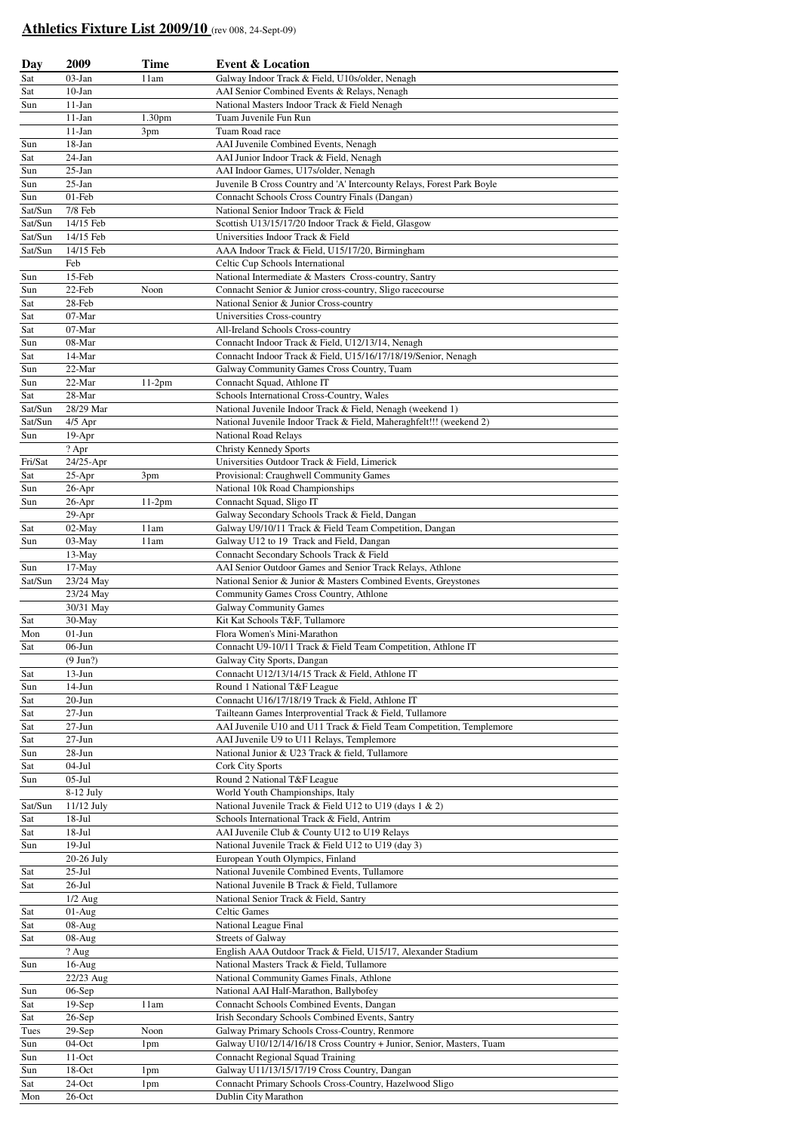## **Athletics Fixture List 2009/10** (rev 008, 24-Sept-09)

| Day            | 2009                   | <b>Time</b>        | <b>Event &amp; Location</b>                                                                                                       |  |
|----------------|------------------------|--------------------|-----------------------------------------------------------------------------------------------------------------------------------|--|
| Sat            | $03-Jan$               | 11am               | Galway Indoor Track & Field, U10s/older, Nenagh                                                                                   |  |
| Sat            | $10-Jan$               |                    | AAI Senior Combined Events & Relays, Nenagh                                                                                       |  |
| Sun            | $11-Jan$               |                    | National Masters Indoor Track & Field Nenagh                                                                                      |  |
|                | $11-Jan$               | 1.30 <sub>pm</sub> | Tuam Juvenile Fun Run                                                                                                             |  |
|                | $11-Jan$               | 3pm                | Tuam Road race                                                                                                                    |  |
| Sun            | 18-Jan                 |                    | AAI Juvenile Combined Events, Nenagh                                                                                              |  |
| Sat            | 24-Jan                 |                    | AAI Junior Indoor Track & Field, Nenagh                                                                                           |  |
| Sun            | $25-Ian$               |                    | AAI Indoor Games, U17s/older, Nenagh                                                                                              |  |
| Sun<br>Sun     | $25$ -Jan<br>$01$ -Feb |                    | Juvenile B Cross Country and 'A' Intercounty Relays, Forest Park Boyle                                                            |  |
| Sat/Sun        | 7/8 Feb                |                    | Connacht Schools Cross Country Finals (Dangan)<br>National Senior Indoor Track & Field                                            |  |
| Sat/Sun        | 14/15 Feb              |                    | Scottish U13/15/17/20 Indoor Track & Field, Glasgow                                                                               |  |
| Sat/Sun        | 14/15 Feb              |                    | Universities Indoor Track & Field                                                                                                 |  |
| Sat/Sun        | 14/15 Feb              |                    | AAA Indoor Track & Field, U15/17/20, Birmingham                                                                                   |  |
|                | Feb                    |                    | Celtic Cup Schools International                                                                                                  |  |
| Sun            | $15$ -Feb              |                    | National Intermediate & Masters Cross-country, Santry                                                                             |  |
| Sun            | 22-Feb                 | Noon               | Connacht Senior & Junior cross-country, Sligo racecourse                                                                          |  |
| Sat            | 28-Feb                 |                    | National Senior & Junior Cross-country                                                                                            |  |
| Sat            | 07-Mar                 |                    | Universities Cross-country                                                                                                        |  |
| Sat            | 07-Mar                 |                    | All-Ireland Schools Cross-country                                                                                                 |  |
| Sun            | 08-Mar                 |                    | Connacht Indoor Track & Field, U12/13/14, Nenagh                                                                                  |  |
| Sat            | 14-Mar                 |                    | Connacht Indoor Track & Field, U15/16/17/18/19/Senior, Nenagh                                                                     |  |
| Sun            | 22-Mar                 |                    | Galway Community Games Cross Country, Tuam                                                                                        |  |
| Sun            | 22-Mar                 | $11-2pm$           | Connacht Squad, Athlone IT                                                                                                        |  |
| Sat<br>Sat/Sun | 28-Mar<br>28/29 Mar    |                    | Schools International Cross-Country, Wales                                                                                        |  |
| Sat/Sun        | $4/5$ Apr              |                    | National Juvenile Indoor Track & Field, Nenagh (weekend 1)<br>National Juvenile Indoor Track & Field, Maheraghfelt!!! (weekend 2) |  |
| Sun            | 19-Apr                 |                    | National Road Relays                                                                                                              |  |
|                | ? Apr                  |                    | <b>Christy Kennedy Sports</b>                                                                                                     |  |
| Fri/Sat        | $24/25$ -Apr           |                    | Universities Outdoor Track & Field, Limerick                                                                                      |  |
| Sat            | $25-Apr$               | 3pm                | Provisional: Craughwell Community Games                                                                                           |  |
| Sun            | $26$ -Apr              |                    | National 10k Road Championships                                                                                                   |  |
| Sun            | $26$ -Apr              | $11-2pm$           | Connacht Squad, Sligo IT                                                                                                          |  |
|                | 29-Apr                 |                    | Galway Secondary Schools Track & Field, Dangan                                                                                    |  |
| Sat            | 02-May                 | 11am               | Galway U9/10/11 Track & Field Team Competition, Dangan                                                                            |  |
| Sun            | 03-May                 | 11am               | Galway U12 to 19 Track and Field, Dangan                                                                                          |  |
|                | $13-May$               |                    | Connacht Secondary Schools Track & Field                                                                                          |  |
| Sun            | $17-May$               |                    | AAI Senior Outdoor Games and Senior Track Relays, Athlone                                                                         |  |
| Sat/Sun        | 23/24 May              |                    | National Senior & Junior & Masters Combined Events, Greystones<br>Community Games Cross Country, Athlone                          |  |
|                | 23/24 May<br>30/31 May |                    | <b>Galway Community Games</b>                                                                                                     |  |
| Sat            | 30-May                 |                    | Kit Kat Schools T&F, Tullamore                                                                                                    |  |
| Mon            | $01-J$ un              |                    | Flora Women's Mini-Marathon                                                                                                       |  |
| Sat            | 06-Jun                 |                    | Connacht U9-10/11 Track & Field Team Competition, Athlone IT                                                                      |  |
|                | $(9 \text{ Jun?})$     |                    | Galway City Sports, Dangan                                                                                                        |  |
| Sat            | $13$ -Jun              |                    | Connacht U12/13/14/15 Track & Field, Athlone IT                                                                                   |  |
| Sun            | $14-Jun$               |                    | Round 1 National T&F League                                                                                                       |  |
| Sat            | $20 - Jun$             |                    | Connacht U16/17/18/19 Track & Field, Athlone IT                                                                                   |  |
| Sat            | $27 - Jun$             |                    | Tailteann Games Interprovential Track & Field, Tullamore                                                                          |  |
| Sat            | $27 - Jun$             |                    | AAI Juvenile U10 and U11 Track & Field Team Competition, Templemore                                                               |  |
| Sat            | $27 - Jun$             |                    | AAI Juvenile U9 to U11 Relays, Templemore                                                                                         |  |
| Sun<br>Sat     | $28-Jun$<br>$04-Jul$   |                    | National Junior & U23 Track & field, Tullamore<br><b>Cork City Sports</b>                                                         |  |
| Sun            | $05-Jul$               |                    | Round 2 National T&F League                                                                                                       |  |
|                | $8-12$ July            |                    | World Youth Championships, Italy                                                                                                  |  |
| Sat/Sun        | 11/12 July             |                    | National Juvenile Track & Field U12 to U19 (days 1 & 2)                                                                           |  |
| Sat            | $18-Jul$               |                    | Schools International Track & Field, Antrim                                                                                       |  |
| Sat            | $18-Jul$               |                    | AAI Juvenile Club & County U12 to U19 Relays                                                                                      |  |
| Sun            | $19-Jul$               |                    | National Juvenile Track & Field U12 to U19 (day 3)                                                                                |  |
|                | 20-26 July             |                    | European Youth Olympics, Finland                                                                                                  |  |
| Sat            | $25$ -Jul              |                    | National Juvenile Combined Events, Tullamore                                                                                      |  |
| Sat            | $26$ -Jul              |                    | National Juvenile B Track & Field, Tullamore                                                                                      |  |
|                | $1/2$ Aug              |                    | National Senior Track & Field, Santry                                                                                             |  |
| Sat            | $01-Aug$               |                    | Celtic Games                                                                                                                      |  |
| Sat            | 08-Aug                 |                    | National League Final                                                                                                             |  |
| Sat            | $08-Aug$<br>? Aug      |                    | <b>Streets of Galway</b><br>English AAA Outdoor Track & Field, U15/17, Alexander Stadium                                          |  |
| Sun            | $16$ -Aug              |                    | National Masters Track & Field, Tullamore                                                                                         |  |
|                | 22/23 Aug              |                    | National Community Games Finals, Athlone                                                                                          |  |
| Sun            | $06-Sep$               |                    | National AAI Half-Marathon, Ballybofey                                                                                            |  |
| Sat            | $19-Sep$               | 11am               | Connacht Schools Combined Events, Dangan                                                                                          |  |
| Sat            | $26-Sep$               |                    | Irish Secondary Schools Combined Events, Santry                                                                                   |  |
| Tues           | $29-Sep$               | Noon               | Galway Primary Schools Cross-Country, Renmore                                                                                     |  |
| Sun            | 04-Oct                 | 1pm                | Galway U10/12/14/16/18 Cross Country + Junior, Senior, Masters, Tuam                                                              |  |
| Sun            | 11-Oct                 |                    | Connacht Regional Squad Training                                                                                                  |  |
| Sun            | 18-Oct                 | 1pm                | Galway U11/13/15/17/19 Cross Country, Dangan                                                                                      |  |
| Sat            | $24$ -Oct              | 1pm                | Connacht Primary Schools Cross-Country, Hazelwood Sligo                                                                           |  |
| Mon            | $26$ -Oct              |                    | Dublin City Marathon                                                                                                              |  |